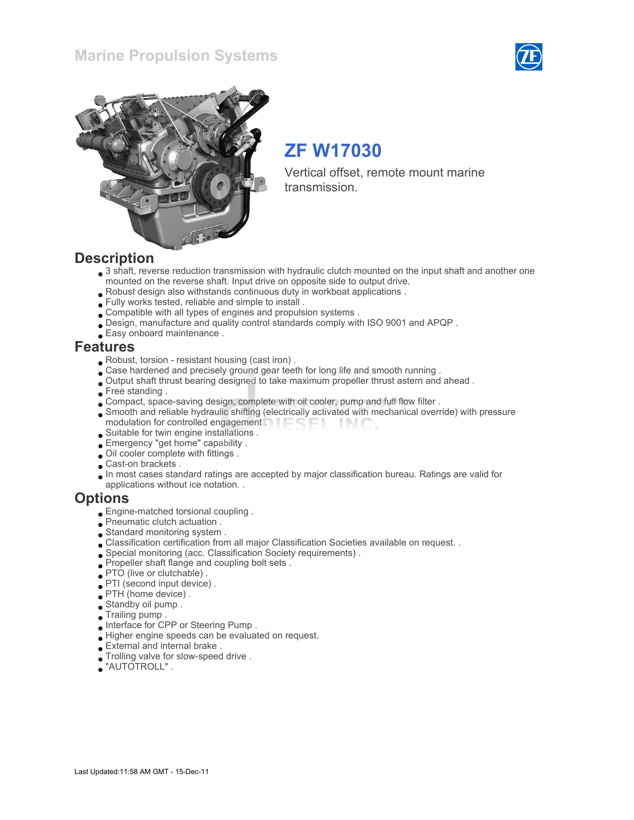### Marine Propulsion Systems





# ZF W17030

Vertical offset, remote mount marine transmission.

### **Description**

- 3 shaft, reverse reduction transmission with hydraulic clutch mounted on the input shaft and another one mounted on the reverse shaft. Input drive on opposite side to output drive.
- Robust design also withstands continuous duty in workboat applications .
- Fully works tested, reliable and simple to install .
- Compatible with all types of engines and propulsion systems .
- Design, manufacture and quality control standards comply with ISO 9001 and APQP .
- Easy onboard maintenance .

### Features

- Robust, torsion resistant housing (cast iron) .
- Case hardened and precisely ground gear teeth for long life and smooth running .
- Output shaft thrust bearing designed to take maximum propeller thrust astern and ahead .
- Free standing.
- Compact, space-saving design, complete with oil cooler, pump and full flow filter .
- Smooth and reliable hydraulic shifting (electrically activated with mechanical override) with pressure modulation for controlled engagement . **Example 20** - IN C
- Suitable for twin engine installations .
- Emergency "get home" capability .
- Oil cooler complete with fittings .
- Cast-on brackets .
- In most cases standard ratings are accepted by major classification bureau. Ratings are valid for applications without ice notation. .

### **Options**

- Engine-matched torsional coupling .
- Pneumatic clutch actuation .
- Standard monitoring system .
- Classification certification from all major Classification Societies available on request. .
- Special monitoring (acc. Classification Society requirements) .
- Propeller shaft flange and coupling bolt sets .
- PTO (live or clutchable) .
- PTI (second input device) .
- PTH (home device) .
- Standby oil pump .
- Trailing pump .
- Interface for CPP or Steering Pump .
- Higher engine speeds can be evaluated on request.
- External and internal brake .
- Trolling valve for slow-speed drive .
- "AUTOTROLL" .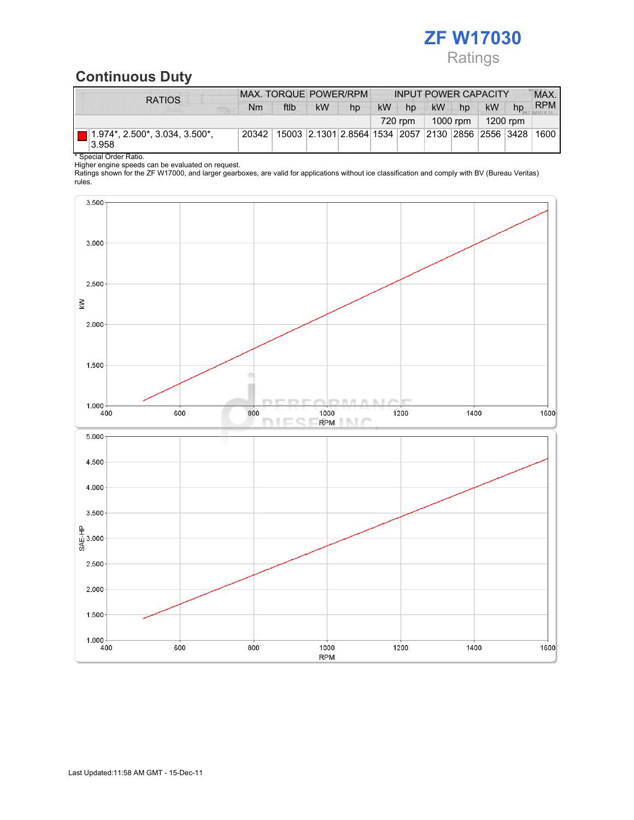# ZF W17030 Ratings

## Continuous Duty

| <b>RATIOS</b>                                 | MAX. TORQUE POWER/RPM |      |          |                                                   | <b>INPUT POWER CAPACITY</b> |    |           |    |           |    | MAX.       |
|-----------------------------------------------|-----------------------|------|----------|---------------------------------------------------|-----------------------------|----|-----------|----|-----------|----|------------|
|                                               | Nm                    | ftlb | kW       | hp                                                | <b>kW</b>                   | hp | <b>kW</b> | hp | <b>kW</b> | hp | <b>RPM</b> |
|                                               | 720 rpm               |      | 1000 rpm |                                                   | 1200 rpm                    |    |           |    |           |    |            |
| $(1.974^*, 2.500^*, 3.034, 3.500^*)$<br>3.958 | 20342                 |      |          | 15003 2.1301 2.8564 1534 2057 2130 2856 2556 3428 |                             |    |           |    |           |    | 1600       |

\* Special Order Ratio.

Higher engine speeds can be evaluated on request.

Ratings shown for the ZF W17000, and larger gearboxes, are valid for applications without ice classification and comply with BV (Bureau Veritas) rules.

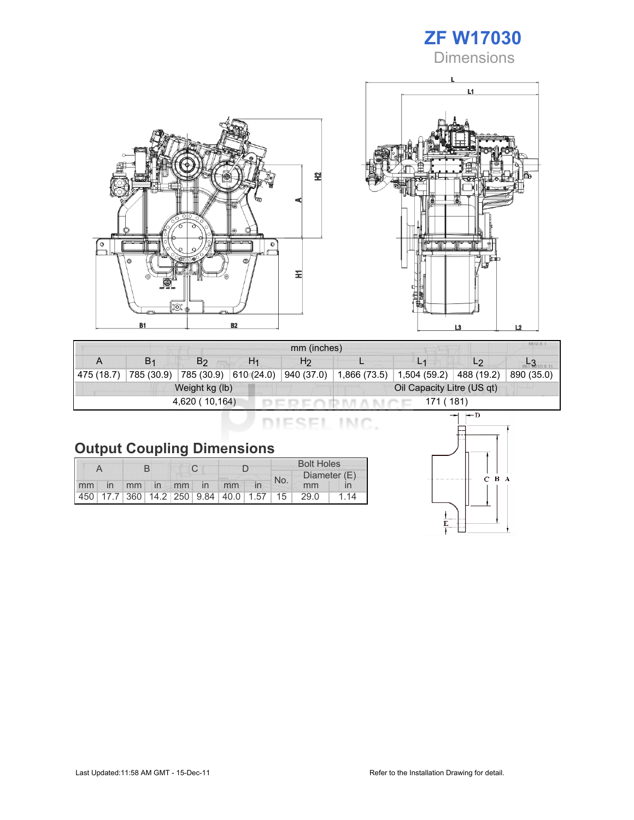





|                             | MIU X.<br>mm (inches) |                |                |                            |              |              |                |            |  |  |  |
|-----------------------------|-----------------------|----------------|----------------|----------------------------|--------------|--------------|----------------|------------|--|--|--|
|                             | <b>B</b> <sub>1</sub> | B <sub>2</sub> | H <sub>1</sub> | H <sub>2</sub>             |              |              | L <sub>2</sub> |            |  |  |  |
| 475(18.7)                   | 785 (30.9)            | 785 (30.9)     | 610(24.0)      | 940 (37.0)                 | 1,866 (73.5) | 1,504 (59.2) | 488 (19.2)     | 890 (35.0) |  |  |  |
|                             |                       | Weight kg (lb) |                | Oil Capacity Litre (US qt) |              |              |                |            |  |  |  |
| 4,620 (10,164)<br>171 (181) |                       |                |                |                            |              |              |                |            |  |  |  |

| <b>Output Coupling Dimensions</b> |  |  |  |  |
|-----------------------------------|--|--|--|--|

|    |    |          |  |    |                                                         | <b>Bolt Holes</b> |     |              |      |  |
|----|----|----------|--|----|---------------------------------------------------------|-------------------|-----|--------------|------|--|
|    |    |          |  |    |                                                         |                   | No. | Diameter (E) |      |  |
| mm | in | mm in mm |  | in | mm                                                      |                   |     | mm           |      |  |
|    |    |          |  |    | 450   17.7   360   14.2   250   9.84   40.0   1.57   15 |                   |     | 29.0         | i 14 |  |

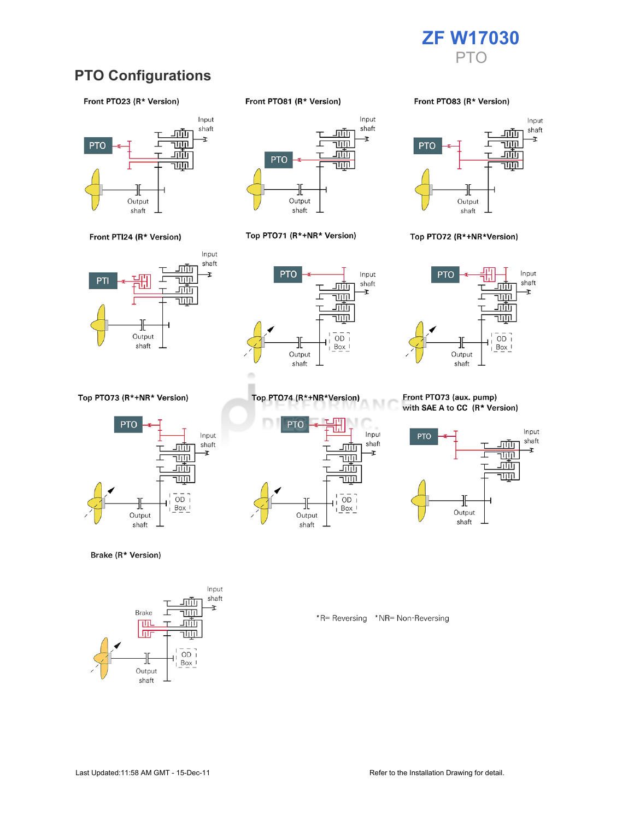

### **PTO Configurations**

#### Front PTO23 (R\* Version)



Front PTI24 (R\* Version)



Top PTO73 (R\*+NR\* Version)



Brake (R\* Version)



Front PTO81 (R\* Version)



#### Top PTO71 (R\*+NR\* Version)



Top PTO74 (R\*+NR\*Version)

╫

Output

shaft

<u>ш.</u>

г

<u>जाण</u>

च्णा

<u>गाँग</u>

<u>TUTL</u>

 $\overline{OD}$ 

 $Box$ 

**PTO** 

#### Front PTO83 (R\* Version)



#### Top PTO72 (R\*+NR\*Version)



#### Front PTO73 (aux. pump) with SAE A to CC (R\* Version)



\*R= Reversing \*NR= Non-Reversing

M

Input

shaft

Ŧ